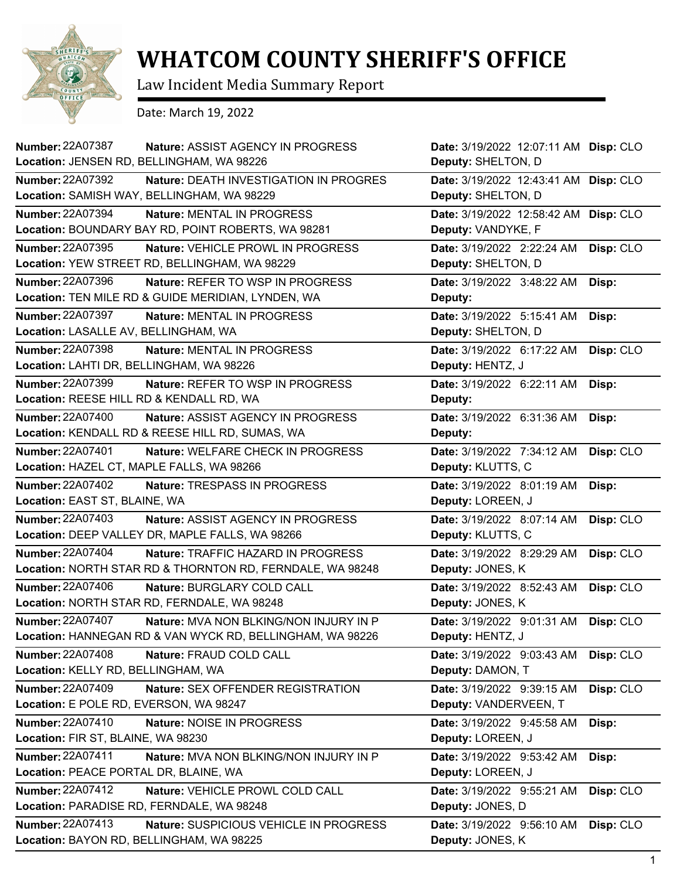

## **WHATCOM COUNTY SHERIFF'S OFFICE**

Law Incident Media Summary Report

Date: March 19, 2022

| <b>Number: 22A07387</b><br>Nature: ASSIST AGENCY IN PROGRESS                                                           | Date: 3/19/2022 12:07:11 AM Disp: CLO                       |           |
|------------------------------------------------------------------------------------------------------------------------|-------------------------------------------------------------|-----------|
| Location: JENSEN RD, BELLINGHAM, WA 98226                                                                              | Deputy: SHELTON, D                                          |           |
| <b>Number: 22A07392</b><br><b>Nature: DEATH INVESTIGATION IN PROGRES</b><br>Location: SAMISH WAY, BELLINGHAM, WA 98229 | Date: 3/19/2022 12:43:41 AM Disp: CLO<br>Deputy: SHELTON, D |           |
| <b>Number: 22A07394</b><br>Nature: MENTAL IN PROGRESS<br>Location: BOUNDARY BAY RD, POINT ROBERTS, WA 98281            | Date: 3/19/2022 12:58:42 AM Disp: CLO<br>Deputy: VANDYKE, F |           |
| Number: 22A07395<br>Nature: VEHICLE PROWL IN PROGRESS                                                                  | Date: 3/19/2022 2:22:24 AM                                  | Disp: CLO |
| Location: YEW STREET RD, BELLINGHAM, WA 98229                                                                          | Deputy: SHELTON, D                                          |           |
| <b>Number: 22A07396</b><br>Nature: REFER TO WSP IN PROGRESS                                                            | Date: 3/19/2022 3:48:22 AM                                  | Disp:     |
| Location: TEN MILE RD & GUIDE MERIDIAN, LYNDEN, WA                                                                     | Deputy:                                                     |           |
| <b>Number: 22A07397</b><br>Nature: MENTAL IN PROGRESS                                                                  | Date: 3/19/2022 5:15:41 AM                                  | Disp:     |
| Location: LASALLE AV, BELLINGHAM, WA                                                                                   | Deputy: SHELTON, D                                          |           |
| <b>Number: 22A07398</b><br>Nature: MENTAL IN PROGRESS<br>Location: LAHTI DR, BELLINGHAM, WA 98226                      | Date: 3/19/2022 6:17:22 AM<br>Deputy: HENTZ, J              | Disp: CLO |
| <b>Number: 22A07399</b><br>Nature: REFER TO WSP IN PROGRESS                                                            | Date: 3/19/2022 6:22:11 AM                                  | Disp:     |
| Location: REESE HILL RD & KENDALL RD, WA                                                                               | Deputy:                                                     |           |
| <b>Number: 22A07400</b><br><b>Nature: ASSIST AGENCY IN PROGRESS</b>                                                    | Date: 3/19/2022 6:31:36 AM                                  | Disp:     |
| Location: KENDALL RD & REESE HILL RD, SUMAS, WA                                                                        | Deputy:                                                     |           |
| Number: 22A07401<br>Nature: WELFARE CHECK IN PROGRESS                                                                  | Date: 3/19/2022 7:34:12 AM                                  | Disp: CLO |
| Location: HAZEL CT, MAPLE FALLS, WA 98266                                                                              | Deputy: KLUTTS, C                                           |           |
| <b>Number: 22A07402</b><br>Nature: TRESPASS IN PROGRESS                                                                | Date: 3/19/2022 8:01:19 AM                                  | Disp:     |
| Location: EAST ST, BLAINE, WA                                                                                          | Deputy: LOREEN, J                                           |           |
| <b>Number: 22A07403</b><br><b>Nature: ASSIST AGENCY IN PROGRESS</b>                                                    | Date: 3/19/2022 8:07:14 AM                                  | Disp: CLO |
| Location: DEEP VALLEY DR, MAPLE FALLS, WA 98266                                                                        | Deputy: KLUTTS, C                                           |           |
| Number: 22A07404<br>Nature: TRAFFIC HAZARD IN PROGRESS                                                                 | Date: 3/19/2022 8:29:29 AM                                  | Disp: CLO |
| Location: NORTH STAR RD & THORNTON RD, FERNDALE, WA 98248                                                              | Deputy: JONES, K                                            |           |
| <b>Number: 22A07406</b><br>Nature: BURGLARY COLD CALL<br>Location: NORTH STAR RD, FERNDALE, WA 98248                   | Date: 3/19/2022 8:52:43 AM<br>Deputy: JONES, K              | Disp: CLO |
| <b>Number: 22A07407</b><br>Nature: MVA NON BLKING/NON INJURY IN P                                                      | Date: 3/19/2022 9:01:31 AM                                  | Disp: CLO |
| Location: HANNEGAN RD & VAN WYCK RD, BELLINGHAM, WA 98226                                                              | Deputy: HENTZ, J                                            |           |
| <b>Number: 22A07408</b><br>Nature: FRAUD COLD CALL                                                                     | Date: 3/19/2022 9:03:43 AM                                  | Disp: CLO |
| Location: KELLY RD, BELLINGHAM, WA                                                                                     | Deputy: DAMON, T                                            |           |
| <b>Number: 22A07409</b><br>Nature: SEX OFFENDER REGISTRATION                                                           | Date: 3/19/2022 9:39:15 AM                                  | Disp: CLO |
| Location: E POLE RD, EVERSON, WA 98247                                                                                 | Deputy: VANDERVEEN, T                                       |           |
| Number: 22A07410<br>Nature: NOISE IN PROGRESS                                                                          | Date: 3/19/2022 9:45:58 AM                                  | Disp:     |
| Location: FIR ST, BLAINE, WA 98230                                                                                     | Deputy: LOREEN, J                                           |           |
| Number: 22A07411<br>Nature: MVA NON BLKING/NON INJURY IN P                                                             | Date: 3/19/2022 9:53:42 AM                                  | Disp:     |
| Location: PEACE PORTAL DR, BLAINE, WA                                                                                  | Deputy: LOREEN, J                                           |           |
| Number: 22A07412<br>Nature: VEHICLE PROWL COLD CALL                                                                    | Date: 3/19/2022 9:55:21 AM                                  | Disp: CLO |
| Location: PARADISE RD, FERNDALE, WA 98248                                                                              | Deputy: JONES, D                                            |           |
| <b>Number: 22A07413</b><br>Nature: SUSPICIOUS VEHICLE IN PROGRESS                                                      | Date: 3/19/2022 9:56:10 AM                                  | Disp: CLO |
| Location: BAYON RD, BELLINGHAM, WA 98225                                                                               | Deputy: JONES, K                                            |           |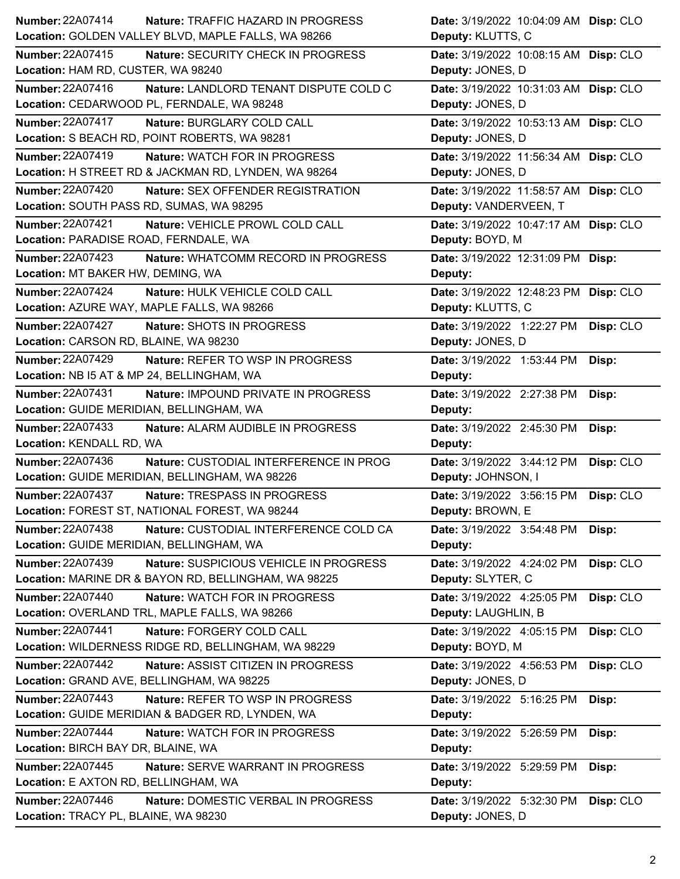| Number: 22A07414<br>Nature: TRAFFIC HAZARD IN PROGRESS            | Date: 3/19/2022 10:04:09 AM Disp: CLO   |
|-------------------------------------------------------------------|-----------------------------------------|
| Location: GOLDEN VALLEY BLVD, MAPLE FALLS, WA 98266               | Deputy: KLUTTS, C                       |
| Number: 22A07415<br>Nature: SECURITY CHECK IN PROGRESS            | Date: 3/19/2022 10:08:15 AM Disp: CLO   |
| Location: HAM RD, CUSTER, WA 98240                                | Deputy: JONES, D                        |
| Number: 22A07416<br>Nature: LANDLORD TENANT DISPUTE COLD C        | Date: 3/19/2022 10:31:03 AM Disp: CLO   |
| Location: CEDARWOOD PL, FERNDALE, WA 98248                        | Deputy: JONES, D                        |
| <b>Number: 22A07417</b><br>Nature: BURGLARY COLD CALL             | Date: 3/19/2022 10:53:13 AM Disp: CLO   |
| Location: S BEACH RD, POINT ROBERTS, WA 98281                     | Deputy: JONES, D                        |
| Number: 22A07419<br>Nature: WATCH FOR IN PROGRESS                 | Date: 3/19/2022 11:56:34 AM Disp: CLO   |
| Location: H STREET RD & JACKMAN RD, LYNDEN, WA 98264              | Deputy: JONES, D                        |
| <b>Number: 22A07420</b><br>Nature: SEX OFFENDER REGISTRATION      | Date: 3/19/2022 11:58:57 AM Disp: CLO   |
| Location: SOUTH PASS RD, SUMAS, WA 98295                          | Deputy: VANDERVEEN, T                   |
| <b>Number: 22A07421</b><br>Nature: VEHICLE PROWL COLD CALL        | Date: 3/19/2022 10:47:17 AM Disp: CLO   |
| Location: PARADISE ROAD, FERNDALE, WA                             | Deputy: BOYD, M                         |
| <b>Number: 22A07423</b><br>Nature: WHATCOMM RECORD IN PROGRESS    | Date: 3/19/2022 12:31:09 PM Disp:       |
| Location: MT BAKER HW, DEMING, WA                                 | Deputy:                                 |
| <b>Number: 22A07424</b><br>Nature: HULK VEHICLE COLD CALL         | Date: 3/19/2022 12:48:23 PM Disp: CLO   |
| Location: AZURE WAY, MAPLE FALLS, WA 98266                        | Deputy: KLUTTS, C                       |
| Number: 22A07427<br>Nature: SHOTS IN PROGRESS                     | Date: 3/19/2022 1:22:27 PM<br>Disp: CLO |
| Location: CARSON RD, BLAINE, WA 98230                             | Deputy: JONES, D                        |
| <b>Number: 22A07429</b><br>Nature: REFER TO WSP IN PROGRESS       | Date: 3/19/2022 1:53:44 PM<br>Disp:     |
| Location: NB I5 AT & MP 24, BELLINGHAM, WA                        | Deputy:                                 |
| Number: 22A07431<br>Nature: IMPOUND PRIVATE IN PROGRESS           | Date: 3/19/2022 2:27:38 PM<br>Disp:     |
| Location: GUIDE MERIDIAN, BELLINGHAM, WA                          | Deputy:                                 |
|                                                                   |                                         |
| <b>Number: 22A07433</b><br>Nature: ALARM AUDIBLE IN PROGRESS      | Date: 3/19/2022 2:45:30 PM<br>Disp:     |
| Location: KENDALL RD, WA                                          | Deputy:                                 |
| <b>Number: 22A07436</b><br>Nature: CUSTODIAL INTERFERENCE IN PROG | Date: 3/19/2022 3:44:12 PM<br>Disp: CLO |
| Location: GUIDE MERIDIAN, BELLINGHAM, WA 98226                    | Deputy: JOHNSON, I                      |
| <b>Number: 22A07437</b><br>Nature: TRESPASS IN PROGRESS           | Date: 3/19/2022 3:56:15 PM Disp: CLO    |
| Location: FOREST ST, NATIONAL FOREST, WA 98244                    | Deputy: BROWN, E                        |
| Number: 22A07438<br>Nature: CUSTODIAL INTERFERENCE COLD CA        | Date: 3/19/2022 3:54:48 PM<br>Disp:     |
| Location: GUIDE MERIDIAN, BELLINGHAM, WA                          | Deputy:                                 |
| Number: 22A07439<br>Nature: SUSPICIOUS VEHICLE IN PROGRESS        | Date: 3/19/2022 4:24:02 PM<br>Disp: CLO |
| Location: MARINE DR & BAYON RD, BELLINGHAM, WA 98225              | Deputy: SLYTER, C                       |
| <b>Number: 22A07440</b><br>Nature: WATCH FOR IN PROGRESS          | Date: 3/19/2022 4:25:05 PM<br>Disp: CLO |
| Location: OVERLAND TRL, MAPLE FALLS, WA 98266                     | Deputy: LAUGHLIN, B                     |
| Number: 22A07441<br>Nature: FORGERY COLD CALL                     | Date: 3/19/2022 4:05:15 PM<br>Disp: CLO |
| Location: WILDERNESS RIDGE RD, BELLINGHAM, WA 98229               | Deputy: BOYD, M                         |
| <b>Number: 22A07442</b><br>Nature: ASSIST CITIZEN IN PROGRESS     | Date: 3/19/2022 4:56:53 PM<br>Disp: CLO |
| Location: GRAND AVE, BELLINGHAM, WA 98225                         | Deputy: JONES, D                        |
| <b>Number: 22A07443</b><br>Nature: REFER TO WSP IN PROGRESS       | Date: 3/19/2022 5:16:25 PM<br>Disp:     |
| Location: GUIDE MERIDIAN & BADGER RD, LYNDEN, WA                  | Deputy:                                 |
| <b>Number: 22A07444</b><br>Nature: WATCH FOR IN PROGRESS          | Date: 3/19/2022 5:26:59 PM<br>Disp:     |
| Location: BIRCH BAY DR, BLAINE, WA                                | Deputy:                                 |
| <b>Number: 22A07445</b><br>Nature: SERVE WARRANT IN PROGRESS      | Date: 3/19/2022 5:29:59 PM<br>Disp:     |
| Location: E AXTON RD, BELLINGHAM, WA                              | Deputy:                                 |
| Number: 22A07446<br>Nature: DOMESTIC VERBAL IN PROGRESS           | Date: 3/19/2022 5:32:30 PM<br>Disp: CLO |